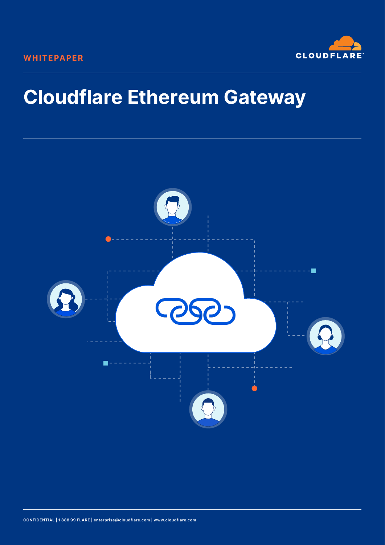

# **Cloudflare Ethereum Gateway**



**CONFIDENTIAL | 1 888 99 FLARE | enterprise@cloudflare.com | www.cloudflare.com**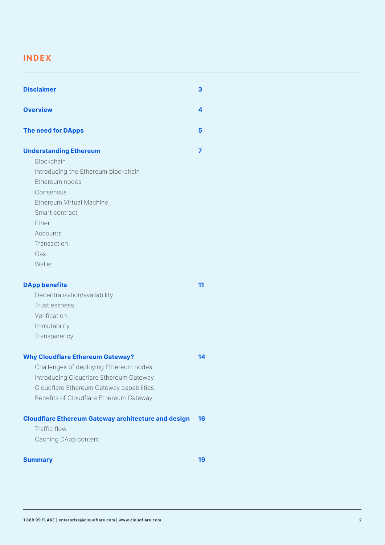### **INDEX**

| <b>Disclaimer</b>                                                                                                                                                                                                           | З  |
|-----------------------------------------------------------------------------------------------------------------------------------------------------------------------------------------------------------------------------|----|
| <b>Overview</b>                                                                                                                                                                                                             | 4  |
| <b>The need for DApps</b>                                                                                                                                                                                                   | 5  |
| <b>Understanding Ethereum</b><br><b>Blockchain</b><br>Introducing the Ethereum blockchain<br>Ethereum nodes<br>Consensus<br>Ethereum Virtual Machine<br>Smart contract<br>Ether<br>Accounts<br>Transaction<br>Gas<br>Wallet | 7  |
| <b>DApp benefits</b><br>Decentralization/availability<br>Trustlessness<br>Verification<br>Immutability<br>Transparency                                                                                                      | 11 |
| <b>Why Cloudflare Ethereum Gateway?</b><br>Challenges of deploying Ethereum nodes<br>Introducing Cloudflare Ethereum Gateway<br>Cloudflare Ethereum Gateway capabilities<br>Benefits of Cloudflare Ethereum Gateway         | 14 |
| <b>Cloudflare Ethereum Gateway architecture and design</b><br>Traffic flow<br>Caching DApp content                                                                                                                          | 16 |
| <b>Summary</b>                                                                                                                                                                                                              | 19 |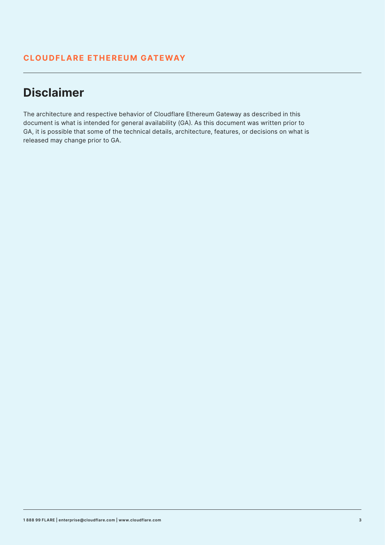# **Disclaimer**

The architecture and respective behavior of Cloudflare Ethereum Gateway as described in this document is what is intended for general availability (GA). As this document was written prior to GA, it is possible that some of the technical details, architecture, features, or decisions on what is released may change prior to GA.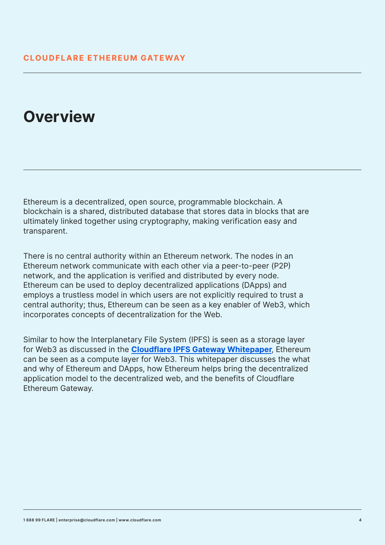# **Overview**

Ethereum is a decentralized, open source, programmable blockchain. A blockchain is a shared, distributed database that stores data in blocks that are ultimately linked together using cryptography, making verification easy and transparent.

There is no central authority within an Ethereum network. The nodes in an Ethereum network communicate with each other via a peer-to-peer (P2P) network, and the application is verified and distributed by every node. Ethereum can be used to deploy decentralized applications (DApps) and employs a trustless model in which users are not explicitly required to trust a central authority; thus, Ethereum can be seen as a key enabler of Web3, which incorporates concepts of decentralization for the Web.

Similar to how the Interplanetary File System (IPFS) is seen as a storage layer for Web3 as discussed in the **[Cloudflare IPFS Gateway Whitepaper](https://www.cloudflare.com/static/54d73aeacf1734b61716613905649bc5/Cloudflare_IPFS_Whitepaper.pdf)**, Ethereum can be seen as a compute layer for Web3. This whitepaper discusses the what and why of Ethereum and DApps, how Ethereum helps bring the decentralized application model to the decentralized web, and the benefits of Cloudflare Ethereum Gateway.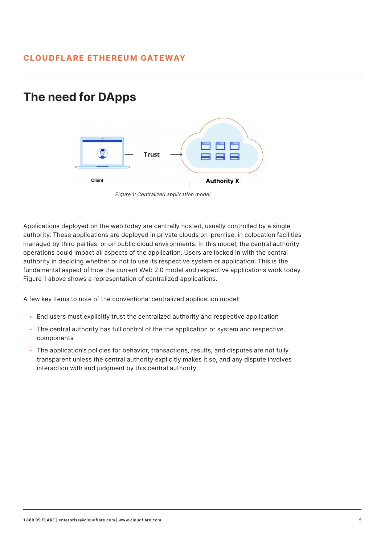### **The need for DApps**



Figure 1: Centralized application model

Applications deployed on the web today are centrally hosted, usually controlled by a single authority. These applications are deployed in private clouds on-premise, in colocation facilities managed by third parties, or on public cloud environments. In this model, the central authority operations could impact all aspects of the application. Users are locked in with the central authority in deciding whether or not to use its respective system or application. This is the fundamental aspect of how the current Web 2.0 model and respective applications work today. Figure 1 above shows a representation of centralized applications.

A few key items to note of the conventional centralized application model:

- End users must explicitly trust the centralized authority and respective application
- The central authority has full control of the the application or system and respective components
- The application's policies for behavior, transactions, results, and disputes are not fully transparent unless the central authority explicitly makes it so, and any dispute involves interaction with and judgment by this central authority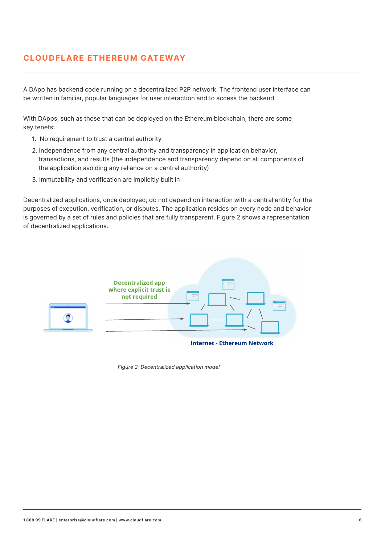A DApp has backend code running on a decentralized P2P network. The frontend user interface can be written in familiar, popular languages for user interaction and to access the backend.

With DApps, such as those that can be deployed on the Ethereum blockchain, there are some key tenets:

- 1. No requirement to trust a central authority
- 2. Independence from any central authority and transparency in application behavior, transactions, and results (the independence and transparency depend on all components of the application avoiding any reliance on a central authority)
- 3. Immutability and verification are implicitly built in

Decentralized applications, once deployed, do not depend on interaction with a central entity for the purposes of execution, verification, or disputes. The application resides on every node and behavior is governed by a set of rules and policies that are fully transparent. Figure 2 shows a representation of decentralized applications.



Figure 2: Decentralized application model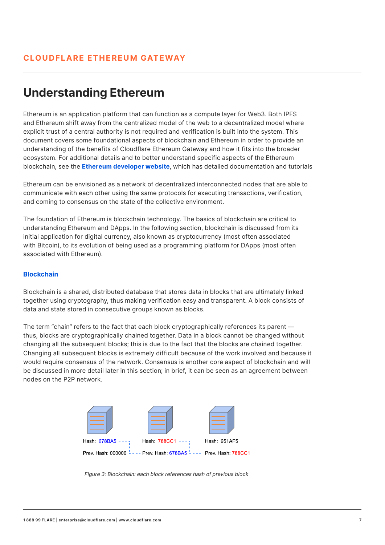# **Understanding Ethereum**

Ethereum is an application platform that can function as a compute layer for Web3. Both IPFS and Ethereum shift away from the centralized model of the web to a decentralized model where explicit trust of a central authority is not required and verification is built into the system. This document covers some foundational aspects of blockchain and Ethereum in order to provide an understanding of the benefits of Cloudflare Ethereum Gateway and how it fits into the broader ecosystem. For additional details and to better understand specific aspects of the Ethereum blockchain, see the **[Ethereum developer website](https://ethereum.org/en/developers/)**, which has detailed documentation and tutorials

Ethereum can be envisioned as a network of decentralized interconnected nodes that are able to communicate with each other using the same protocols for executing transactions, verification, and coming to consensus on the state of the collective environment.

The foundation of Ethereum is blockchain technology. The basics of blockchain are critical to understanding Ethereum and DApps. In the following section, blockchain is discussed from its initial application for digital currency, also known as cryptocurrency (most often associated with Bitcoin), to its evolution of being used as a programming platform for DApps (most often associated with Ethereum).

#### **Blockchain**

Blockchain is a shared, distributed database that stores data in blocks that are ultimately linked together using cryptography, thus making verification easy and transparent. A block consists of data and state stored in consecutive groups known as blocks.

The term "chain" refers to the fact that each block cryptographically references its parent thus, blocks are cryptographically chained together. Data in a block cannot be changed without changing all the subsequent blocks; this is due to the fact that the blocks are chained together. Changing all subsequent blocks is extremely difficult because of the work involved and because it would require consensus of the network. Consensus is another core aspect of blockchain and will be discussed in more detail later in this section; in brief, it can be seen as an agreement between nodes on the P2P network.



Figure 3: Blockchain: each block references hash of previous block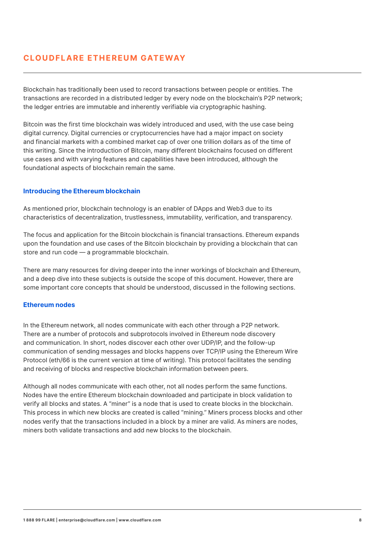Blockchain has traditionally been used to record transactions between people or entities. The transactions are recorded in a distributed ledger by every node on the blockchain's P2P network; the ledger entries are immutable and inherently verifiable via cryptographic hashing.

Bitcoin was the first time blockchain was widely introduced and used, with the use case being digital currency. Digital currencies or cryptocurrencies have had a major impact on society and financial markets with a combined market cap of over one trillion dollars as of the time of this writing. Since the introduction of Bitcoin, many different blockchains focused on different use cases and with varying features and capabilities have been introduced, although the foundational aspects of blockchain remain the same.

#### **Introducing the Ethereum blockchain**

As mentioned prior, blockchain technology is an enabler of DApps and Web3 due to its characteristics of decentralization, trustlessness, immutability, verification, and transparency.

The focus and application for the Bitcoin blockchain is financial transactions. Ethereum expands upon the foundation and use cases of the Bitcoin blockchain by providing a blockchain that can store and run code — a programmable blockchain.

There are many resources for diving deeper into the inner workings of blockchain and Ethereum, and a deep dive into these subjects is outside the scope of this document. However, there are some important core concepts that should be understood, discussed in the following sections.

#### **Ethereum nodes**

In the Ethereum network, all nodes communicate with each other through a P2P network. There are a number of protocols and subprotocols involved in Ethereum node discovery and communication. In short, nodes discover each other over UDP/IP, and the follow-up communication of sending messages and blocks happens over TCP/IP using the Ethereum Wire Protocol (eth/66 is the current version at time of writing). This protocol facilitates the sending and receiving of blocks and respective blockchain information between peers.

Although all nodes communicate with each other, not all nodes perform the same functions. Nodes have the entire Ethereum blockchain downloaded and participate in block validation to verify all blocks and states. A "miner" is a node that is used to create blocks in the blockchain. This process in which new blocks are created is called "mining." Miners process blocks and other nodes verify that the transactions included in a block by a miner are valid. As miners are nodes, miners both validate transactions and add new blocks to the blockchain.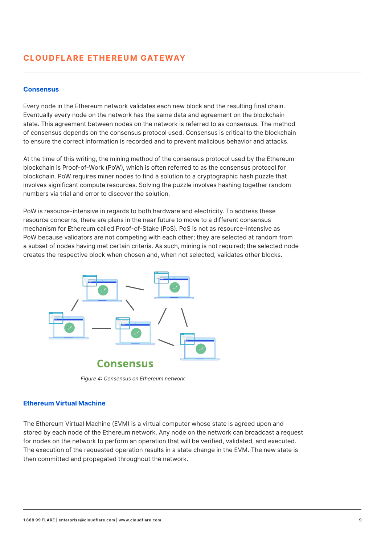#### **Consensus**

Every node in the Ethereum network validates each new block and the resulting final chain. Eventually every node on the network has the same data and agreement on the blockchain state. This agreement between nodes on the network is referred to as consensus. The method of consensus depends on the consensus protocol used. Consensus is critical to the blockchain to ensure the correct information is recorded and to prevent malicious behavior and attacks.

At the time of this writing, the mining method of the consensus protocol used by the Ethereum blockchain is Proof-of-Work (PoW), which is often referred to as the consensus protocol for blockchain. PoW requires miner nodes to find a solution to a cryptographic hash puzzle that involves significant compute resources. Solving the puzzle involves hashing together random numbers via trial and error to discover the solution.

PoW is resource-intensive in regards to both hardware and electricity. To address these resource concerns, there are plans in the near future to move to a different consensus mechanism for Ethereum called Proof-of-Stake (PoS). PoS is not as resource-intensive as PoW because validators are not competing with each other; they are selected at random from a subset of nodes having met certain criteria. As such, mining is not required; the selected node creates the respective block when chosen and, when not selected, validates other blocks.



Figure 4: Consensus on Ethereum network

#### **Ethereum Virtual Machine**

The Ethereum Virtual Machine (EVM) is a virtual computer whose state is agreed upon and stored by each node of the Ethereum network. Any node on the network can broadcast a request for nodes on the network to perform an operation that will be verified, validated, and executed. The execution of the requested operation results in a state change in the EVM. The new state is then committed and propagated throughout the network.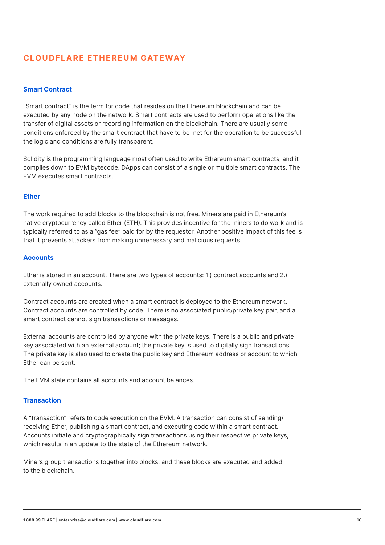#### **Smart Contract**

"Smart contract" is the term for code that resides on the Ethereum blockchain and can be executed by any node on the network. Smart contracts are used to perform operations like the transfer of digital assets or recording information on the blockchain. There are usually some conditions enforced by the smart contract that have to be met for the operation to be successful; the logic and conditions are fully transparent.

Solidity is the programming language most often used to write Ethereum smart contracts, and it compiles down to EVM bytecode. DApps can consist of a single or multiple smart contracts. The EVM executes smart contracts.

#### **Ether**

The work required to add blocks to the blockchain is not free. Miners are paid in Ethereum's native cryptocurrency called Ether (ETH). This provides incentive for the miners to do work and is typically referred to as a "gas fee" paid for by the requestor. Another positive impact of this fee is that it prevents attackers from making unnecessary and malicious requests.

#### **Accounts**

Ether is stored in an account. There are two types of accounts: 1.) contract accounts and 2.) externally owned accounts.

Contract accounts are created when a smart contract is deployed to the Ethereum network. Contract accounts are controlled by code. There is no associated public/private key pair, and a smart contract cannot sign transactions or messages.

External accounts are controlled by anyone with the private keys. There is a public and private key associated with an external account; the private key is used to digitally sign transactions. The private key is also used to create the public key and Ethereum address or account to which Ether can be sent.

The EVM state contains all accounts and account balances.

#### **Transaction**

A "transaction" refers to code execution on the EVM. A transaction can consist of sending/ receiving Ether, publishing a smart contract, and executing code within a smart contract. Accounts initiate and cryptographically sign transactions using their respective private keys, which results in an update to the state of the Ethereum network.

Miners group transactions together into blocks, and these blocks are executed and added to the blockchain.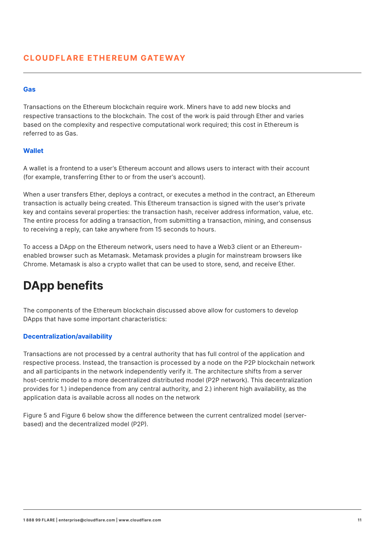#### **Gas**

Transactions on the Ethereum blockchain require work. Miners have to add new blocks and respective transactions to the blockchain. The cost of the work is paid through Ether and varies based on the complexity and respective computational work required; this cost in Ethereum is referred to as Gas.

#### **Wallet**

A wallet is a frontend to a user's Ethereum account and allows users to interact with their account (for example, transferring Ether to or from the user's account).

When a user transfers Ether, deploys a contract, or executes a method in the contract, an Ethereum transaction is actually being created. This Ethereum transaction is signed with the user's private key and contains several properties: the transaction hash, receiver address information, value, etc. The entire process for adding a transaction, from submitting a transaction, mining, and consensus to receiving a reply, can take anywhere from 15 seconds to hours.

To access a DApp on the Ethereum network, users need to have a Web3 client or an Ethereumenabled browser such as Metamask. Metamask provides a plugin for mainstream browsers like Chrome. Metamask is also a crypto wallet that can be used to store, send, and receive Ether.

# **DApp benefits**

The components of the Ethereum blockchain discussed above allow for customers to develop DApps that have some important characteristics:

#### **Decentralization/availability**

Transactions are not processed by a central authority that has full control of the application and respective process. Instead, the transaction is processed by a node on the P2P blockchain network and all participants in the network independently verify it. The architecture shifts from a server host-centric model to a more decentralized distributed model (P2P network). This decentralization provides for 1.) independence from any central authority, and 2.) inherent high availability, as the application data is available across all nodes on the network

Figure 5 and Figure 6 below show the difference between the current centralized model (serverbased) and the decentralized model (P2P).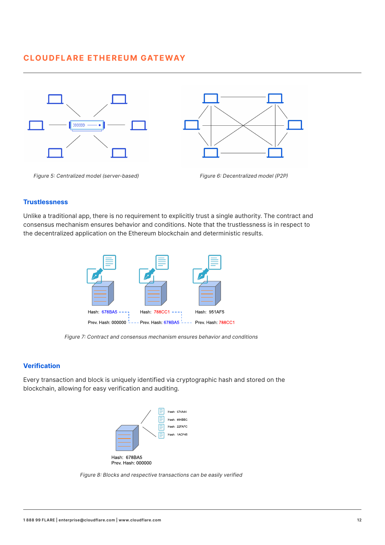

#### **Trustlessness**

Unlike a traditional app, there is no requirement to explicitly trust a single authority. The contract and consensus mechanism ensures behavior and conditions. Note that the trustlessness is in respect to the decentralized application on the Ethereum blockchain and deterministic results.



Figure 7: Contract and consensus mechanism ensures behavior and conditions

#### **Verification**

Every transaction and block is uniquely identified via cryptographic hash and stored on the blockchain, allowing for easy verification and auditing.



Figure 8: Blocks and respective transactions can be easily verified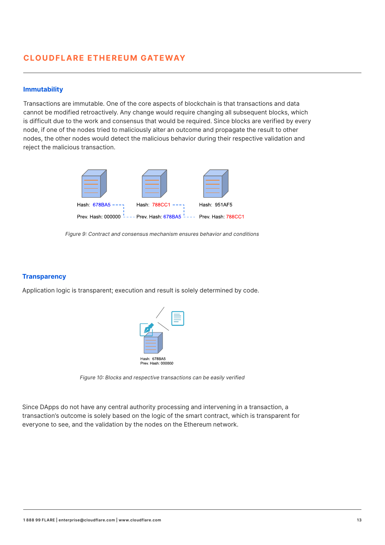#### **Immutability**

Transactions are immutable. One of the core aspects of blockchain is that transactions and data cannot be modified retroactively. Any change would require changing all subsequent blocks, which is difficult due to the work and consensus that would be required. Since blocks are verified by every node, if one of the nodes tried to maliciously alter an outcome and propagate the result to other nodes, the other nodes would detect the malicious behavior during their respective validation and reject the malicious transaction.



Figure 9: Contract and consensus mechanism ensures behavior and conditions

#### **Transparency**

Application logic is transparent; execution and result is solely determined by code.



Figure 10: Blocks and respective transactions can be easily verified

Since DApps do not have any central authority processing and intervening in a transaction, a transaction's outcome is solely based on the logic of the smart contract, which is transparent for everyone to see, and the validation by the nodes on the Ethereum network.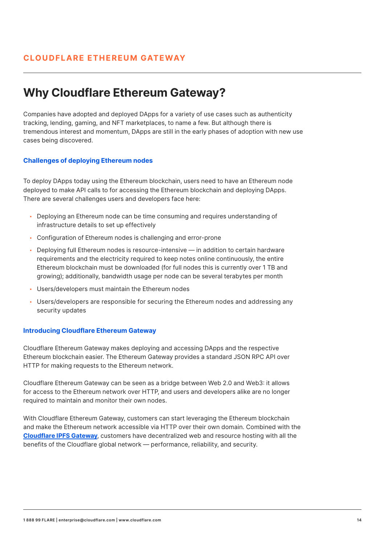# **Why Cloudflare Ethereum Gateway?**

Companies have adopted and deployed DApps for a variety of use cases such as authenticity tracking, lending, gaming, and NFT marketplaces, to name a few. But although there is tremendous interest and momentum, DApps are still in the early phases of adoption with new use cases being discovered.

#### **Challenges of deploying Ethereum nodes**

To deploy DApps today using the Ethereum blockchain, users need to have an Ethereum node deployed to make API calls to for accessing the Ethereum blockchain and deploying DApps. There are several challenges users and developers face here:

- Deploying an Ethereum node can be time consuming and requires understanding of infrastructure details to set up effectively
- Configuration of Ethereum nodes is challenging and error-prone
- Deploying full Ethereum nodes is resource-intensive in addition to certain hardware requirements and the electricity required to keep notes online continuously, the entire Ethereum blockchain must be downloaded (for full nodes this is currently over 1 TB and growing); additionally, bandwidth usage per node can be several terabytes per month
- Users/developers must maintain the Ethereum nodes
- Users/developers are responsible for securing the Ethereum nodes and addressing any security updates

#### **Introducing Cloudflare Ethereum Gateway**

Cloudflare Ethereum Gateway makes deploying and accessing DApps and the respective Ethereum blockchain easier. The Ethereum Gateway provides a standard JSON RPC API over HTTP for making requests to the Ethereum network.

Cloudflare Ethereum Gateway can be seen as a bridge between Web 2.0 and Web3: it allows for access to the Ethereum network over HTTP, and users and developers alike are no longer required to maintain and monitor their own nodes.

With Cloudflare Ethereum Gateway, customers can start leveraging the Ethereum blockchain and make the Ethereum network accessible via HTTP over their own domain. Combined with the **[Cloudflare IPFS Gateway](https://www.cloudflare.com/static/54d73aeacf1734b61716613905649bc5/Cloudflare_IPFS_Whitepaper.pdf)**, customers have decentralized web and resource hosting with all the benefits of the Cloudflare global network — performance, reliability, and security.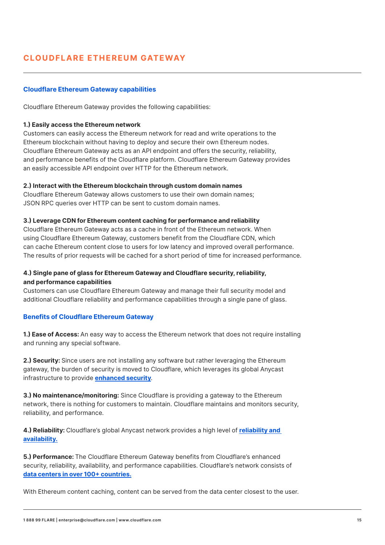#### **Cloudflare Ethereum Gateway capabilities**

Cloudflare Ethereum Gateway provides the following capabilities:

#### **1.) Easily access the Ethereum network**

Customers can easily access the Ethereum network for read and write operations to the Ethereum blockchain without having to deploy and secure their own Ethereum nodes. Cloudflare Ethereum Gateway acts as an API endpoint and offers the security, reliability, and performance benefits of the Cloudflare platform. Cloudflare Ethereum Gateway provides an easily accessible API endpoint over HTTP for the Ethereum network.

#### **2.) Interact with the Ethereum blockchain through custom domain names**

Cloudflare Ethereum Gateway allows customers to use their own domain names; JSON RPC queries over HTTP can be sent to custom domain names.

#### **3.) Leverage CDN for Ethereum content caching for performance and reliability**

Cloudflare Ethereum Gateway acts as a cache in front of the Ethereum network. When using Cloudflare Ethereum Gateway, customers benefit from the Cloudflare CDN, which can cache Ethereum content close to users for low latency and improved overall performance. The results of prior requests will be cached for a short period of time for increased performance.

#### **4.) Single pane of glass for Ethereum Gateway and Cloudflare security, reliability, and performance capabilities**

Customers can use Cloudflare Ethereum Gateway and manage their full security model and additional Cloudflare reliability and performance capabilities through a single pane of glass.

#### **Benefits of Cloudflare Ethereum Gateway**

**1.) Ease of Access:** An easy way to access the Ethereum network that does not require installing and running any special software.

**2.) Security:** Since users are not installing any software but rather leveraging the Ethereum gateway, the burden of security is moved to Cloudflare, which leverages its global Anycast infrastructure to provide **[enhanced security](https://blog.cloudflare.com/cloudflare-thwarts-17-2m-rps-ddos-attack-the-largest-ever-reported/)**.

**3.) No maintenance/monitoring:** Since Cloudflare is providing a gateway to the Ethereum network, there is nothing for customers to maintain. Cloudflare maintains and monitors security, reliability, and performance.

**4.) Reliability:** Cloudflare's global Anycast network provides a high level of **[reliability and](https://www.cloudflare.com/network/)  [availability.](https://www.cloudflare.com/network/)**

**5.) Performance:** [The Cloudflare Ethereum Gateway benefits from Cloudflare's enhanced](https://www.cloudflare.com/network/)  [security, reliability, availability, and performance capabilities. Cloudflare's network consists of](https://www.cloudflare.com/network/) **[data centers in over 100+ countries.](https://www.cloudflare.com/network/)**

With Ethereum content caching, content can be served from the data center closest to the user.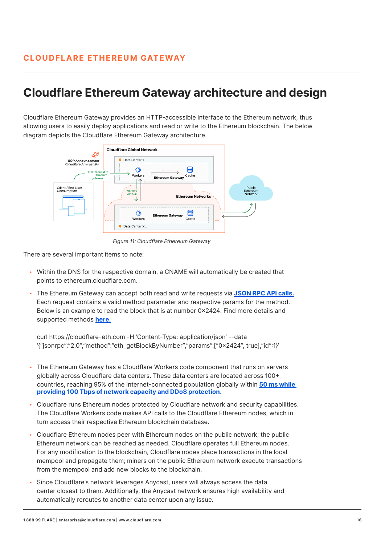# **Cloudflare Ethereum Gateway architecture and design**

Cloudflare Ethereum Gateway provides an HTTP-accessible interface to the Ethereum network, thus allowing users to easily deploy applications and read or write to the Ethereum blockchain. The below diagram depicts the Cloudflare Ethereum Gateway architecture.



Figure 11: Cloudflare Ethereum Gateway

There are several important items to note:

- Within the DNS for the respective domain, a CNAME will automatically be created that points to ethereum.cloudflare.com.
- The Ethereum Gateway can accept both read and write requests via **[JSON RPC API calls.](https://eth.wiki/json-rpc/API)** Each request contains a valid method parameter and respective params for the method. Below is an example to read the block that is at number 0x2424. Find more details and supported methods **[here.](https://developers.cloudflare.com/distributed-web/ethereum-gateway/interacting-with-the-eth-gateway)**

curl https://cloudflare-eth.com -H 'Content-Type: application/json' --data '{"jsonrpc":"2.0","method":"eth\_getBlockByNumber","params":["0x2424", true],"id":1}'

- The Ethereum Gateway has a Cloudflare Workers code component that runs on servers globally across Cloudflare data centers. These data centers are located across 100+ countries, reaching 95% of the Internet-connected population globally within **[50 ms while](https://blog.cloudflare.com/250-cities-is-just-the-start/)  [providing 100 Tbps of network capacity and DDoS protection.](https://blog.cloudflare.com/250-cities-is-just-the-start/)**
- Cloudflare runs Ethereum nodes protected by Cloudflare network and security capabilities. The Cloudflare Workers code makes API calls to the Cloudflare Ethereum nodes, which in turn access their respective Ethereum blockchain database.
- Cloudflare Ethereum nodes peer with Ethereum nodes on the public network; the public Ethereum network can be reached as needed. Cloudflare operates full Ethereum nodes. For any modification to the blockchain, Cloudflare nodes place transactions in the local mempool and propagate them; miners on the public Ethereum network execute transactions from the mempool and add new blocks to the blockchain.
- Since Cloudflare's network leverages Anycast, users will always access the data center closest to them. Additionally, the Anycast network ensures high availability and automatically reroutes to another data center upon any issue.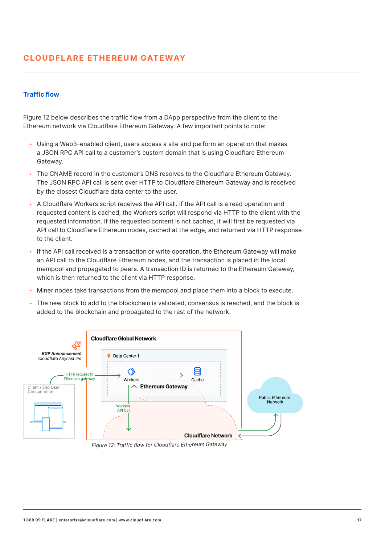#### **Traffic flow**

Figure 12 below describes the traffic flow from a DApp perspective from the client to the Ethereum network via Cloudflare Ethereum Gateway. A few important points to note:

- Using a Web3-enabled client, users access a site and perform an operation that makes a JSON RPC API call to a customer's custom domain that is using Cloudflare Ethereum Gateway.
- The CNAME record in the customer's DNS resolves to the Cloudflare Ethereum Gateway. The JSON RPC API call is sent over HTTP to Cloudflare Ethereum Gateway and is received by the closest Cloudflare data center to the user.
- A Cloudflare Workers script receives the API call. If the API call is a read operation and requested content is cached, the Workers script will respond via HTTP to the client with the requested information. If the requested content is not cached, it will first be requested via API call to Cloudflare Ethereum nodes, cached at the edge, and returned via HTTP response to the client.
- If the API call received is a transaction or write operation, the Ethereum Gateway will make an API call to the Cloudflare Ethereum nodes, and the transaction is placed in the local mempool and propagated to peers. A transaction ID is returned to the Ethereum Gateway, which is then returned to the client via HTTP response.
- Miner nodes take transactions from the mempool and place them into a block to execute.
- The new block to add to the blockchain is validated, consensus is reached, and the block is added to the blockchain and propagated to the rest of the network.



Figure 12: Traffic flow for Cloudflare Ethereum Gateway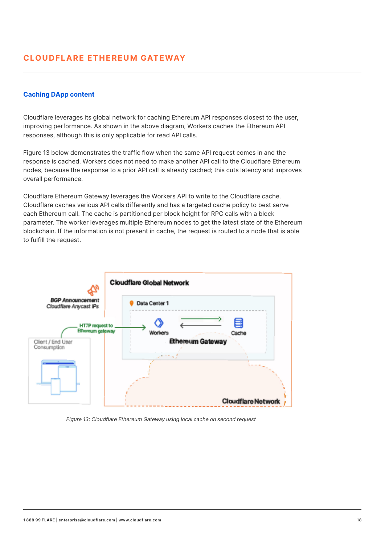#### **Caching DApp content**

Cloudflare leverages its global network for caching Ethereum API responses closest to the user, improving performance. As shown in the above diagram, Workers caches the Ethereum API responses, although this is only applicable for read API calls.

Figure 13 below demonstrates the traffic flow when the same API request comes in and the response is cached. Workers does not need to make another API call to the Cloudflare Ethereum nodes, because the response to a prior API call is already cached; this cuts latency and improves overall performance.

Cloudflare Ethereum Gateway leverages the Workers API to write to the Cloudflare cache. Cloudflare caches various API calls differently and has a targeted cache policy to best serve each Ethereum call. The cache is partitioned per block height for RPC calls with a block parameter. The worker leverages multiple Ethereum nodes to get the latest state of the Ethereum blockchain. If the information is not present in cache, the request is routed to a node that is able to fulfill the request.



Figure 13: Cloudflare Ethereum Gateway using local cache on second request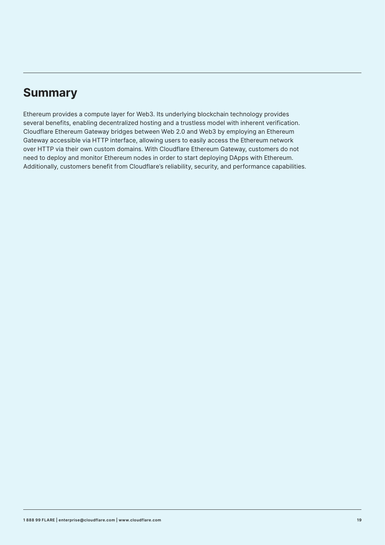# **Summary**

Ethereum provides a compute layer for Web3. Its underlying blockchain technology provides several benefits, enabling decentralized hosting and a trustless model with inherent verification. Cloudflare Ethereum Gateway bridges between Web 2.0 and Web3 by employing an Ethereum Gateway accessible via HTTP interface, allowing users to easily access the Ethereum network over HTTP via their own custom domains. With Cloudflare Ethereum Gateway, customers do not need to deploy and monitor Ethereum nodes in order to start deploying DApps with Ethereum. Additionally, customers benefit from Cloudflare's reliability, security, and performance capabilities.